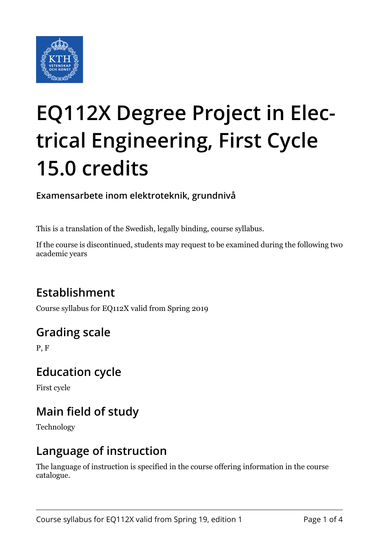

# **EQ112X Degree Project in Electrical Engineering, First Cycle 15.0 credits**

**Examensarbete inom elektroteknik, grundnivå**

This is a translation of the Swedish, legally binding, course syllabus.

If the course is discontinued, students may request to be examined during the following two academic years

## **Establishment**

Course syllabus for EQ112X valid from Spring 2019

## **Grading scale**

P, F

#### **Education cycle**

First cycle

## **Main field of study**

Technology

#### **Language of instruction**

The language of instruction is specified in the course offering information in the course catalogue.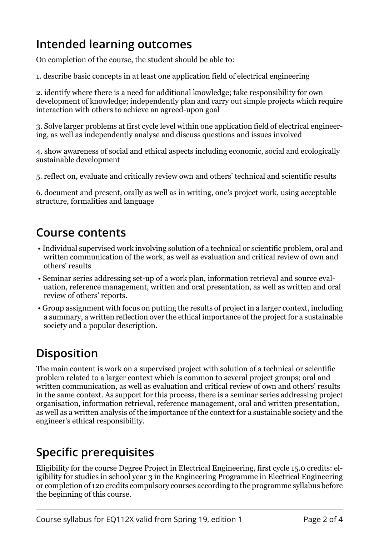### **Intended learning outcomes**

On completion of the course, the student should be able to:

1. describe basic concepts in at least one application field of electrical engineering

2. identify where there is a need for additional knowledge; take responsibility for own development of knowledge; independently plan and carry out simple projects which require interaction with others to achieve an agreed-upon goal

3. Solve larger problems at first cycle level within one application field of electrical engineering, as well as independently analyse and discuss questions and issues involved

4. show awareness of social and ethical aspects including economic, social and ecologically sustainable development

5. reflect on, evaluate and critically review own and others' technical and scientific results

6. document and present, orally as well as in writing, one's project work, using acceptable structure, formalities and language

#### **Course contents**

- Individual supervised work involving solution of a technical or scientific problem, oral and written communication of the work, as well as evaluation and critical review of own and others' results
- Seminar series addressing set-up of a work plan, information retrieval and source evaluation, reference management, written and oral presentation, as well as written and oral review of others' reports.
- Group assignment with focus on putting the results of project in a larger context, including a summary, a written reflection over the ethical importance of the project for a sustainable society and a popular description.

# **Disposition**

The main content is work on a supervised project with solution of a technical or scientific problem related to a larger context which is common to several project groups; oral and written communication, as well as evaluation and critical review of own and others' results in the same context. As support for this process, there is a seminar series addressing project organisation, information retrieval, reference management, oral and written presentation, as well as a written analysis of the importance of the context for a sustainable society and the engineer's ethical responsibility.

## **Specific prerequisites**

Eligibility for the course Degree Project in Electrical Engineering, first cycle 15.0 credits: eligibility for studies in school year 3 in the Engineering Programme in Electrical Engineering or completion of 120 credits compulsory courses according to the programme syllabus before the beginning of this course.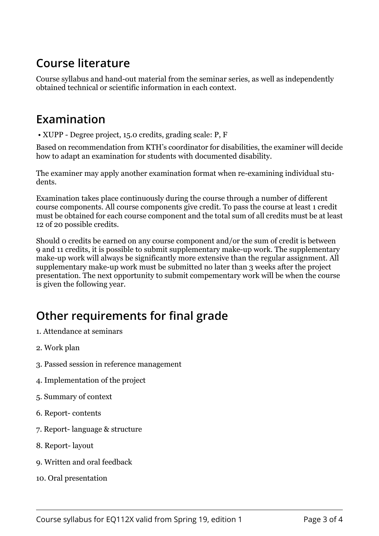#### **Course literature**

Course syllabus and hand-out material from the seminar series, as well as independently obtained technical or scientific information in each context.

#### **Examination**

• XUPP - Degree project, 15.0 credits, grading scale: P, F

Based on recommendation from KTH's coordinator for disabilities, the examiner will decide how to adapt an examination for students with documented disability.

The examiner may apply another examination format when re-examining individual students.

Examination takes place continuously during the course through a number of different course components. All course components give credit. To pass the course at least 1 credit must be obtained for each course component and the total sum of all credits must be at least 12 of 20 possible credits.

Should 0 credits be earned on any course component and/or the sum of credit is between 9 and 11 credits, it is possible to submit supplementary make-up work. The supplementary make-up work will always be significantly more extensive than the regular assignment. All supplementary make-up work must be submitted no later than 3 weeks after the project presentation. The next opportunity to submit compementary work will be when the course is given the following year.

## **Other requirements for final grade**

- 1. Attendance at seminars
- 2. Work plan
- 3. Passed session in reference management
- 4. Implementation of the project
- 5. Summary of context
- 6. Report- contents
- 7. Report- language & structure
- 8. Report- layout
- 9. Written and oral feedback
- 10. Oral presentation